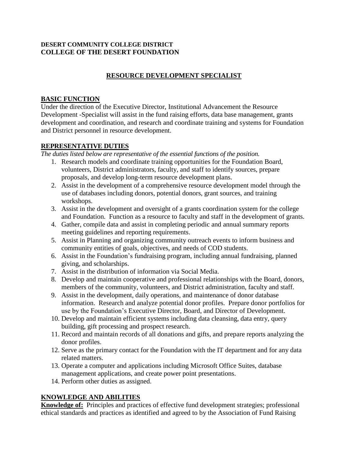## **DESERT COMMUNITY COLLEGE DISTRICT COLLEGE OF THE DESERT FOUNDATION**

# **RESOURCE DEVELOPMENT SPECIALIST**

#### **BASIC FUNCTION**

Under the direction of the Executive Director, Institutional Advancement the Resource Development -Specialist will assist in the fund raising efforts, data base management, grants development and coordination, and research and coordinate training and systems for Foundation and District personnel in resource development.

#### **REPRESENTATIVE DUTIES**

*The duties listed below are representative of the essential functions of the position.*

- 1. Research models and coordinate training opportunities for the Foundation Board, volunteers, District administrators, faculty, and staff to identify sources, prepare proposals, and develop long-term resource development plans.
- 2. Assist in the development of a comprehensive resource development model through the use of databases including donors, potential donors, grant sources, and training workshops.
- 3. Assist in the development and oversight of a grants coordination system for the college and Foundation. Function as a resource to faculty and staff in the development of grants.
- 4. Gather, compile data and assist in completing periodic and annual summary reports meeting guidelines and reporting requirements.
- 5. Assist in Planning and organizing community outreach events to inform business and community entities of goals, objectives, and needs of COD students.
- 6. Assist in the Foundation's fundraising program, including annual fundraising, planned giving, and scholarships.
- 7. Assist in the distribution of information via Social Media.
- 8. Develop and maintain cooperative and professional relationships with the Board, donors, members of the community, volunteers, and District administration, faculty and staff.
- 9. Assist in the development, daily operations, and maintenance of donor database information. Research and analyze potential donor profiles. Prepare donor portfolios for use by the Foundation's Executive Director, Board, and Director of Development.
- 10. Develop and maintain efficient systems including data cleansing, data entry, query building, gift processing and prospect research.
- 11. Record and maintain records of all donations and gifts, and prepare reports analyzing the donor profiles.
- 12. Serve as the primary contact for the Foundation with the IT department and for any data related matters.
- 13. Operate a computer and applications including Microsoft Office Suites, database management applications, and create power point presentations.
- 14. Perform other duties as assigned.

## **KNOWLEDGE AND ABILITIES**

**Knowledge of:** Principles and practices of effective fund development strategies; professional ethical standards and practices as identified and agreed to by the Association of Fund Raising